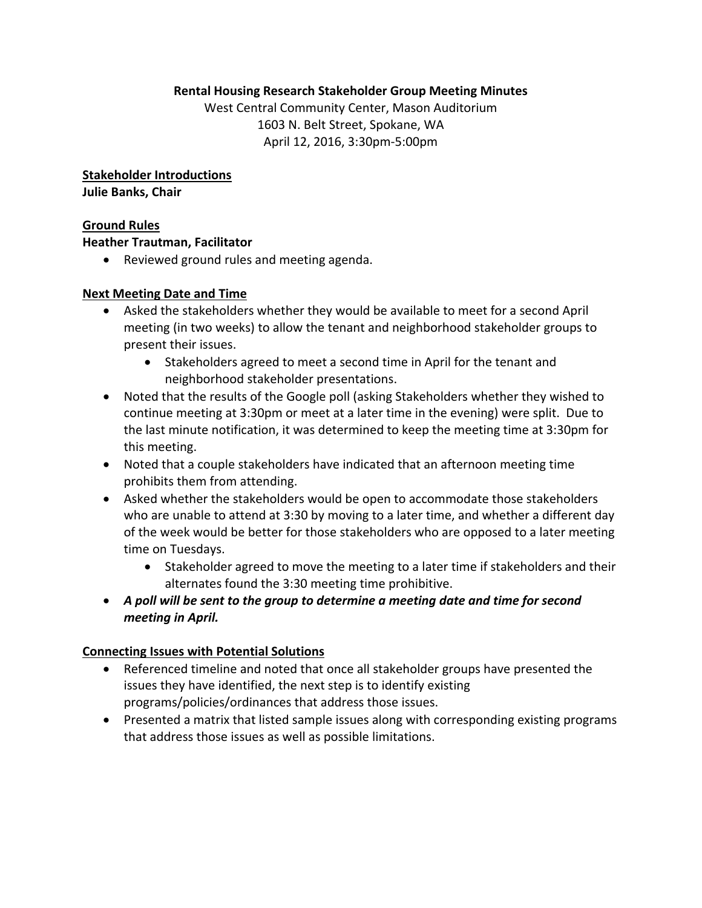### **Rental Housing Research Stakeholder Group Meeting Minutes**

West Central Community Center, Mason Auditorium 1603 N. Belt Street, Spokane, WA April 12, 2016, 3:30pm‐5:00pm

**Stakeholder Introductions Julie Banks, Chair**

#### **Ground Rules**

#### **Heather Trautman, Facilitator**

Reviewed ground rules and meeting agenda.

### **Next Meeting Date and Time**

- Asked the stakeholders whether they would be available to meet for a second April meeting (in two weeks) to allow the tenant and neighborhood stakeholder groups to present their issues.
	- Stakeholders agreed to meet a second time in April for the tenant and neighborhood stakeholder presentations.
- Noted that the results of the Google poll (asking Stakeholders whether they wished to continue meeting at 3:30pm or meet at a later time in the evening) were split. Due to the last minute notification, it was determined to keep the meeting time at 3:30pm for this meeting.
- Noted that a couple stakeholders have indicated that an afternoon meeting time prohibits them from attending.
- Asked whether the stakeholders would be open to accommodate those stakeholders who are unable to attend at 3:30 by moving to a later time, and whether a different day of the week would be better for those stakeholders who are opposed to a later meeting time on Tuesdays.
	- Stakeholder agreed to move the meeting to a later time if stakeholders and their alternates found the 3:30 meeting time prohibitive.
- *A poll will be sent to the group to determine a meeting date and time for second meeting in April.*

## **Connecting Issues with Potential Solutions**

- Referenced timeline and noted that once all stakeholder groups have presented the issues they have identified, the next step is to identify existing programs/policies/ordinances that address those issues.
- Presented a matrix that listed sample issues along with corresponding existing programs that address those issues as well as possible limitations.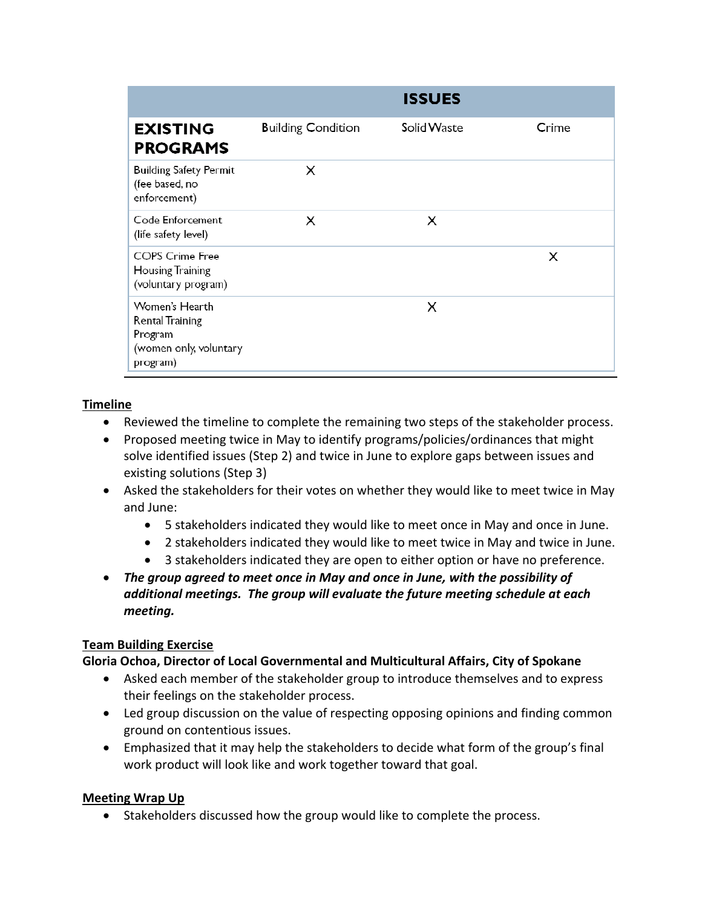|                                                                                           |                           | <b>ISSUES</b>      |       |
|-------------------------------------------------------------------------------------------|---------------------------|--------------------|-------|
| <b>EXISTING</b><br><b>PROGRAMS</b>                                                        | <b>Building Condition</b> | <b>Solid Waste</b> | Crime |
| <b>Building Safety Permit</b><br>(fee based, no<br>enforcement)                           | X                         |                    |       |
| Code Enforcement<br>(life safety level)                                                   | x                         | Х                  |       |
| <b>COPS Crime Free</b><br>Housing Training<br>(voluntary program)                         |                           |                    | X     |
| Women's Hearth<br><b>Rental Training</b><br>Program<br>(women only, voluntary<br>program) |                           | X                  |       |

# **Timeline**

- Reviewed the timeline to complete the remaining two steps of the stakeholder process.
- Proposed meeting twice in May to identify programs/policies/ordinances that might solve identified issues (Step 2) and twice in June to explore gaps between issues and existing solutions (Step 3)
- Asked the stakeholders for their votes on whether they would like to meet twice in May and June:
	- 5 stakeholders indicated they would like to meet once in May and once in June.
	- 2 stakeholders indicated they would like to meet twice in May and twice in June.
	- 3 stakeholders indicated they are open to either option or have no preference.

 *The group agreed to meet once in May and once in June, with the possibility of additional meetings. The group will evaluate the future meeting schedule at each meeting.*

## **Team Building Exercise**

## **Gloria Ochoa, Director of Local Governmental and Multicultural Affairs, City of Spokane**

- Asked each member of the stakeholder group to introduce themselves and to express their feelings on the stakeholder process.
- Led group discussion on the value of respecting opposing opinions and finding common ground on contentious issues.
- Emphasized that it may help the stakeholders to decide what form of the group's final work product will look like and work together toward that goal.

## **Meeting Wrap Up**

Stakeholders discussed how the group would like to complete the process.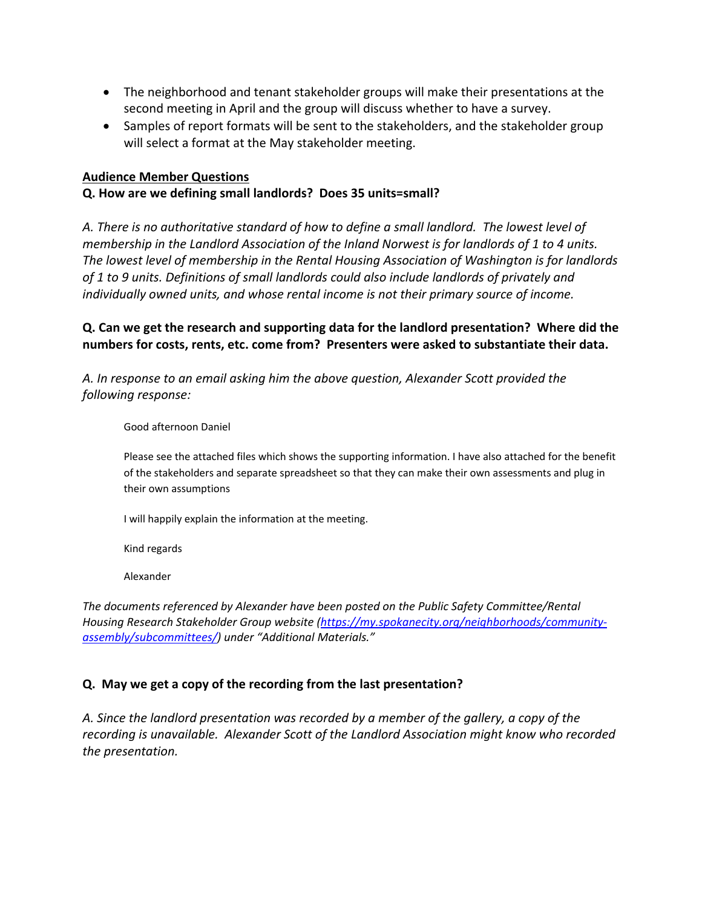- The neighborhood and tenant stakeholder groups will make their presentations at the second meeting in April and the group will discuss whether to have a survey.
- Samples of report formats will be sent to the stakeholders, and the stakeholder group will select a format at the May stakeholder meeting.

#### **Audience Member Questions**

### **Q. How are we defining small landlords? Does 35 units=small?**

*A. There is no authoritative standard of how to define a small landlord. The lowest level of membership in the Landlord Association of the Inland Norwest is for landlords of 1 to 4 units. The lowest level of membership in the Rental Housing Association of Washington is for landlords of 1 to 9 units. Definitions of small landlords could also include landlords of privately and individually owned units, and whose rental income is not their primary source of income.* 

# **Q. Can we get the research and supporting data for the landlord presentation? Where did the numbers for costs, rents, etc. come from? Presenters were asked to substantiate their data.**

*A. In response to an email asking him the above question, Alexander Scott provided the following response:*

Good afternoon Daniel

Please see the attached files which shows the supporting information. I have also attached for the benefit of the stakeholders and separate spreadsheet so that they can make their own assessments and plug in their own assumptions

I will happily explain the information at the meeting.

Kind regards

Alexander

*The documents referenced by Alexander have been posted on the Public Safety Committee/Rental Housing Research Stakeholder Group website (https://my.spokanecity.org/neighborhoods/community‐ assembly/subcommittees/) under "Additional Materials."*

## **Q. May we get a copy of the recording from the last presentation?**

*A. Since the landlord presentation was recorded by a member of the gallery, a copy of the recording is unavailable. Alexander Scott of the Landlord Association might know who recorded the presentation.*